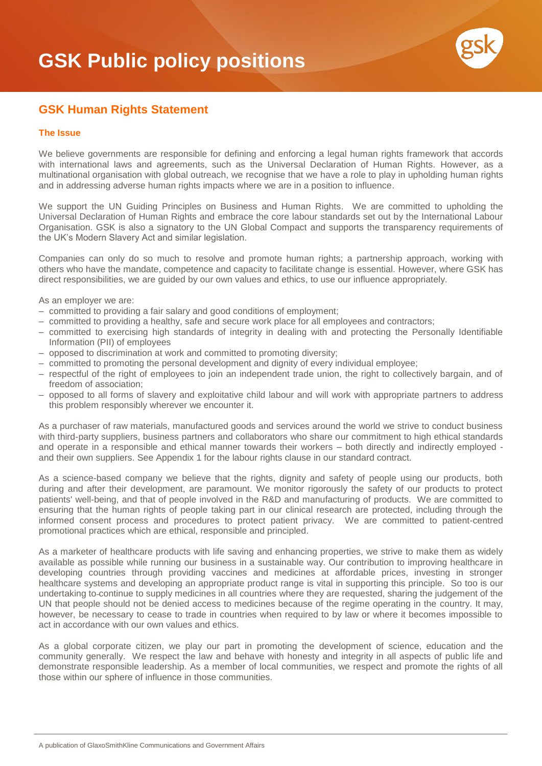

## **GSK Human Rights Statement**

## **The Issue**

We believe governments are responsible for defining and enforcing a legal human rights framework that accords with international laws and agreements, such as the Universal Declaration of Human Rights. However, as a multinational organisation with global outreach, we recognise that we have a role to play in upholding human rights and in addressing adverse human rights impacts where we are in a position to influence.

We support the UN Guiding Principles on Business and Human Rights. We are committed to upholding the Universal Declaration of Human Rights and embrace the core labour standards set out by the International Labour Organisation. GSK is also a signatory to the UN Global Compact and supports the transparency requirements of the UK's Modern Slavery Act and similar legislation.

Companies can only do so much to resolve and promote human rights; a partnership approach, working with others who have the mandate, competence and capacity to facilitate change is essential. However, where GSK has direct responsibilities, we are guided by our own values and ethics, to use our influence appropriately.

As an employer we are:

- committed to providing a fair salary and good conditions of employment;
- committed to providing a healthy, safe and secure work place for all employees and contractors;
- committed to exercising high standards of integrity in dealing with and protecting the Personally Identifiable Information (PII) of employees
- opposed to discrimination at work and committed to promoting diversity;
- committed to promoting the personal development and dignity of every individual employee;
- respectful of the right of employees to join an independent trade union, the right to collectively bargain, and of freedom of association;
- opposed to all forms of slavery and exploitative child labour and will work with appropriate partners to address this problem responsibly wherever we encounter it.

As a purchaser of raw materials, manufactured goods and services around the world we strive to conduct business with third-party suppliers, business partners and collaborators who share our commitment to high ethical standards and operate in a responsible and ethical manner towards their workers – both directly and indirectly employed and their own suppliers. See Appendix 1 for the labour rights clause in our standard contract.

As a science-based company we believe that the rights, dignity and safety of people using our products, both during and after their development, are paramount. We monitor rigorously the safety of our products to protect patients' well-being, and that of people involved in the R&D and manufacturing of products. We are committed to ensuring that the human rights of people taking part in our clinical research are protected, including through the informed consent process and procedures to protect patient privacy. We are committed to patient-centred promotional practices which are ethical, responsible and principled.

As a marketer of healthcare products with life saving and enhancing properties, we strive to make them as widely available as possible while running our business in a sustainable way. Our contribution to improving healthcare in developing countries through providing vaccines and medicines at affordable prices, investing in stronger healthcare systems and developing an appropriate product range is vital in supporting this principle. So too is our undertaking to continue to supply medicines in all countries where they are requested, sharing the judgement of the UN that people should not be denied access to medicines because of the regime operating in the country. It may, however, be necessary to cease to trade in countries when required to by law or where it becomes impossible to act in accordance with our own values and ethics.

As a global corporate citizen, we play our part in promoting the development of science, education and the community generally. We respect the law and behave with honesty and integrity in all aspects of public life and demonstrate responsible leadership. As a member of local communities, we respect and promote the rights of all those within our sphere of influence in those communities.